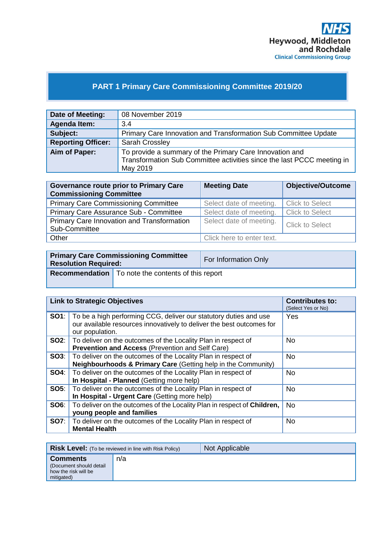

# **PART 1 Primary Care Commissioning Committee 2019/20**

| Date of Meeting:          | 08 November 2019                                                                                                                              |
|---------------------------|-----------------------------------------------------------------------------------------------------------------------------------------------|
| <b>Agenda Item:</b>       | 3.4                                                                                                                                           |
| Subject:                  | Primary Care Innovation and Transformation Sub Committee Update                                                                               |
| <b>Reporting Officer:</b> | <b>Sarah Crossley</b>                                                                                                                         |
| Aim of Paper:             | To provide a summary of the Primary Care Innovation and<br>Transformation Sub Committee activities since the last PCCC meeting in<br>May 2019 |

| <b>Governance route prior to Primary Care</b><br><b>Commissioning Committee</b> | <b>Meeting Date</b>       | <b>Objective/Outcome</b> |
|---------------------------------------------------------------------------------|---------------------------|--------------------------|
| <b>Primary Care Commissioning Committee</b>                                     | Select date of meeting.   | <b>Click to Select</b>   |
| Primary Care Assurance Sub - Committee                                          | Select date of meeting.   | <b>Click to Select</b>   |
| Primary Care Innovation and Transformation<br>Sub-Committee                     | Select date of meeting.   | Click to Select          |
| Other                                                                           | Click here to enter text. |                          |

| <b>Resolution Required:</b> | <b>Primary Care Commissioning Committee</b>                 | For Information Only |
|-----------------------------|-------------------------------------------------------------|----------------------|
|                             | <b>Recommendation</b>   To note the contents of this report |                      |

| <b>Link to Strategic Objectives</b> |                                                                                                                                                                            | <b>Contributes to:</b><br>(Select Yes or No) |
|-------------------------------------|----------------------------------------------------------------------------------------------------------------------------------------------------------------------------|----------------------------------------------|
|                                     | <b>SO1</b> : To be a high performing CCG, deliver our statutory duties and use<br>our available resources innovatively to deliver the best outcomes for<br>our population. | Yes                                          |
|                                     | <b>SO2:</b>   To deliver on the outcomes of the Locality Plan in respect of<br><b>Prevention and Access (Prevention and Self Care)</b>                                     | <b>No</b>                                    |
|                                     | <b>SO3:</b>   To deliver on the outcomes of the Locality Plan in respect of<br><b>Neighbourhoods &amp; Primary Care (Getting help in the Community)</b>                    | <b>No</b>                                    |
| SO4:                                | To deliver on the outcomes of the Locality Plan in respect of<br>In Hospital - Planned (Getting more help)                                                                 | No.                                          |
|                                     | <b>SO5:</b>   To deliver on the outcomes of the Locality Plan in respect of<br>In Hospital - Urgent Care (Getting more help)                                               | <b>No</b>                                    |
| <b>SO6:</b>                         | To deliver on the outcomes of the Locality Plan in respect of Children,<br>young people and families                                                                       | <b>No</b>                                    |
|                                     | <b>SO7:</b>   To deliver on the outcomes of the Locality Plan in respect of<br><b>Mental Health</b>                                                                        | <b>No</b>                                    |

|                                                                                  | <b>Risk Level:</b> (To be reviewed in line with Risk Policy) | Not Applicable |
|----------------------------------------------------------------------------------|--------------------------------------------------------------|----------------|
| <b>Comments</b><br>(Document should detail<br>how the risk will be<br>mitigated) | n/a                                                          |                |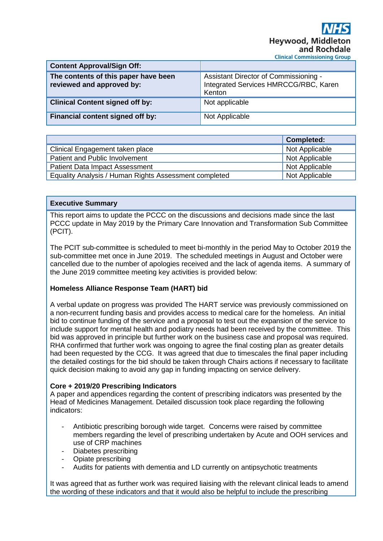| <b>Content Approval/Sign Off:</b>                                 |                                                                                          |
|-------------------------------------------------------------------|------------------------------------------------------------------------------------------|
| The contents of this paper have been<br>reviewed and approved by: | Assistant Director of Commissioning -<br>Integrated Services HMRCCG/RBC, Karen<br>Kenton |
| <b>Clinical Content signed off by:</b>                            | Not applicable                                                                           |
| Financial content signed off by:                                  | Not Applicable                                                                           |

|                                                       | <b>Completed:</b> |
|-------------------------------------------------------|-------------------|
| Clinical Engagement taken place                       | Not Applicable    |
| Patient and Public Involvement                        | Not Applicable    |
| <b>Patient Data Impact Assessment</b>                 | Not Applicable    |
| Equality Analysis / Human Rights Assessment completed | Not Applicable    |

#### **Executive Summary**

This report aims to update the PCCC on the discussions and decisions made since the last PCCC update in May 2019 by the Primary Care Innovation and Transformation Sub Committee (PCIT).

The PCIT sub-committee is scheduled to meet bi-monthly in the period May to October 2019 the sub-committee met once in June 2019. The scheduled meetings in August and October were cancelled due to the number of apologies received and the lack of agenda items. A summary of the June 2019 committee meeting key activities is provided below:

### **Homeless Alliance Response Team (HART) bid**

A verbal update on progress was provided The HART service was previously commissioned on a non-recurrent funding basis and provides access to medical care for the homeless. An initial bid to continue funding of the service and a proposal to test out the expansion of the service to include support for mental health and podiatry needs had been received by the committee. This bid was approved in principle but further work on the business case and proposal was required. RHA confirmed that further work was ongoing to agree the final costing plan as greater details had been requested by the CCG. It was agreed that due to timescales the final paper including the detailed costings for the bid should be taken through Chairs actions if necessary to facilitate quick decision making to avoid any gap in funding impacting on service delivery.

### **Core + 2019/20 Prescribing Indicators**

A paper and appendices regarding the content of prescribing indicators was presented by the Head of Medicines Management. Detailed discussion took place regarding the following indicators:

- Antibiotic prescribing borough wide target. Concerns were raised by committee members regarding the level of prescribing undertaken by Acute and OOH services and use of CRP machines
- Diabetes prescribing
- Opiate prescribing
- Audits for patients with dementia and LD currently on antipsychotic treatments

It was agreed that as further work was required liaising with the relevant clinical leads to amend the wording of these indicators and that it would also be helpful to include the prescribing